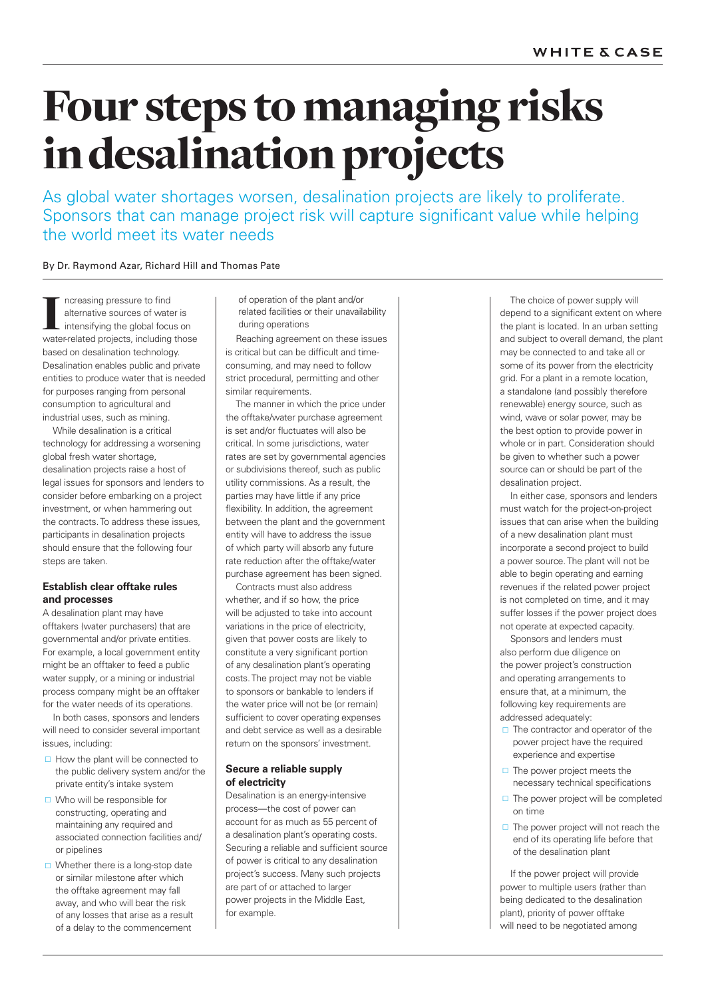# Four steps to managing risks in desalination projects

As global water shortages worsen, desalination projects are likely to proliferate. Sponsors that can manage project risk will capture significant value while helping the world meet its water needs

By Dr. Raymond Azar, Richard Hill and Thomas Pate

T ncreasing pressure to find<br>alternative sources of water is<br>intensifying the global focus on<br>water-related projects, including those ncreasing pressure to find alternative sources of water is intensifying the global focus on based on desalination technology. Desalination enables public and private entities to produce water that is needed for purposes ranging from personal consumption to agricultural and industrial uses, such as mining.

While desalination is a critical technology for addressing a worsening global fresh water shortage, desalination projects raise a host of legal issues for sponsors and lenders to consider before embarking on a project investment, or when hammering out the contracts. To address these issues, participants in desalination projects should ensure that the following four steps are taken.

### **Establish clear offtake rules and processes**

A desalination plant may have offtakers (water purchasers) that are governmental and/or private entities. For example, a local government entity might be an offtaker to feed a public water supply, or a mining or industrial process company might be an offtaker for the water needs of its operations.

In both cases, sponsors and lenders will need to consider several important issues, including:

- $\Box$  How the plant will be connected to the public delivery system and/or the private entity's intake system
- □ Who will be responsible for constructing, operating and maintaining any required and associated connection facilities and/ or pipelines
- $\Box$  Whether there is a long-stop date or similar milestone after which the offtake agreement may fall away, and who will bear the risk of any losses that arise as a result of a delay to the commencement

of operation of the plant and/or related facilities or their unavailability during operations

Reaching agreement on these issues is critical but can be difficult and timeconsuming, and may need to follow strict procedural, permitting and other similar requirements.

The manner in which the price under the offtake/water purchase agreement is set and/or fluctuates will also be critical. In some jurisdictions, water rates are set by governmental agencies or subdivisions thereof, such as public utility commissions. As a result, the parties may have little if any price flexibility. In addition, the agreement between the plant and the government entity will have to address the issue of which party will absorb any future rate reduction after the offtake/water purchase agreement has been signed.

Contracts must also address whether, and if so how, the price will be adjusted to take into account variations in the price of electricity, given that power costs are likely to constitute a very significant portion of any desalination plant's operating costs. The project may not be viable to sponsors or bankable to lenders if the water price will not be (or remain) sufficient to cover operating expenses and debt service as well as a desirable return on the sponsors' investment.

### **Secure a reliable supply of electricity**

Desalination is an energy-intensive process—the cost of power can account for as much as 55 percent of a desalination plant's operating costs. Securing a reliable and sufficient source of power is critical to any desalination project's success. Many such projects are part of or attached to larger power projects in the Middle East, for example.

The choice of power supply will depend to a significant extent on where the plant is located. In an urban setting and subject to overall demand, the plant may be connected to and take all or some of its power from the electricity grid. For a plant in a remote location, a standalone (and possibly therefore renewable) energy source, such as wind, wave or solar power, may be the best option to provide power in whole or in part. Consideration should be given to whether such a power source can or should be part of the desalination project.

In either case, sponsors and lenders must watch for the project-on-project issues that can arise when the building of a new desalination plant must incorporate a second project to build a power source. The plant will not be able to begin operating and earning revenues if the related power project is not completed on time, and it may suffer losses if the power project does not operate at expected capacity.

Sponsors and lenders must also perform due diligence on the power project's construction and operating arrangements to ensure that, at a minimum, the following key requirements are addressed adequately:

- $\Box$  The contractor and operator of the power project have the required experience and expertise
- $\Box$  The power project meets the necessary technical specifications
- $\Box$  The power project will be completed on time
- $\Box$  The power project will not reach the end of its operating life before that of the desalination plant

If the power project will provide power to multiple users (rather than being dedicated to the desalination plant), priority of power offtake will need to be negotiated among